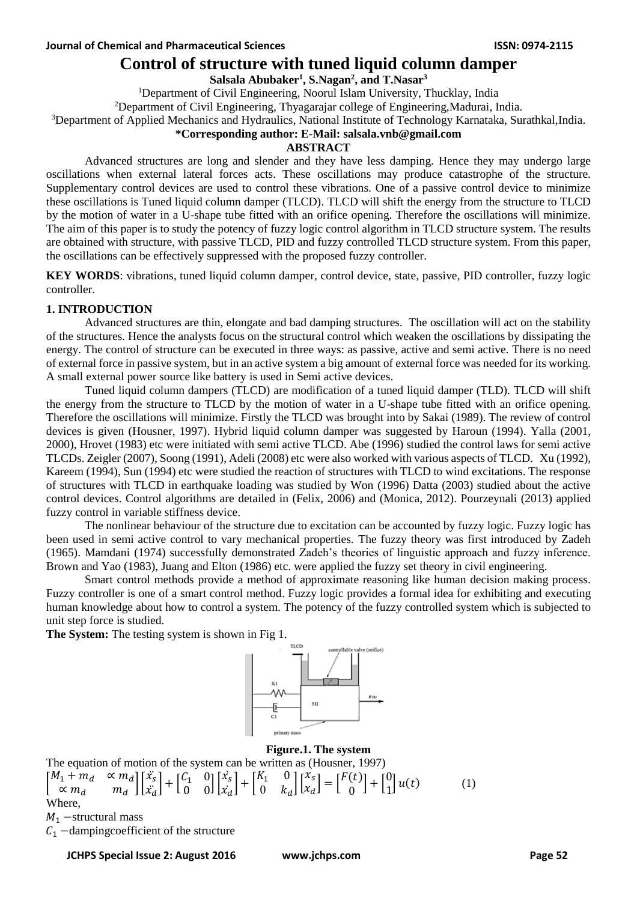# **Control of structure with tuned liquid column damper**

## **Salsala Abubaker<sup>1</sup> , S.Nagan<sup>2</sup> , and T.Nasar<sup>3</sup>**

<sup>1</sup>Department of Civil Engineering, Noorul Islam University, Thucklay, India

<sup>2</sup>Department of Civil Engineering, Thyagarajar college of Engineering, Madurai, India.

<sup>3</sup>Department of Applied Mechanics and Hydraulics, National Institute of Technology Karnataka, Surathkal,India.

#### **\*Corresponding author: E-Mail: salsala.vnb@gmail.com**

#### **ABSTRACT**

Advanced structures are long and slender and they have less damping. Hence they may undergo large oscillations when external lateral forces acts. These oscillations may produce catastrophe of the structure. Supplementary control devices are used to control these vibrations. One of a passive control device to minimize these oscillations is Tuned liquid column damper (TLCD). TLCD will shift the energy from the structure to TLCD by the motion of water in a U-shape tube fitted with an orifice opening. Therefore the oscillations will minimize. The aim of this paper is to study the potency of fuzzy logic control algorithm in TLCD structure system. The results are obtained with structure, with passive TLCD, PID and fuzzy controlled TLCD structure system. From this paper, the oscillations can be effectively suppressed with the proposed fuzzy controller.

**KEY WORDS**: vibrations, tuned liquid column damper, control device, state, passive, PID controller, fuzzy logic controller.

### **1. INTRODUCTION**

Advanced structures are thin, elongate and bad damping structures. The oscillation will act on the stability of the structures. Hence the analysts focus on the structural control which weaken the oscillations by dissipating the energy. The control of structure can be executed in three ways: as passive, active and semi active. There is no need of external force in passive system, but in an active system a big amount of external force was needed for its working. A small external power source like battery is used in Semi active devices.

Tuned liquid column dampers (TLCD) are modification of a tuned liquid damper (TLD). TLCD will shift the energy from the structure to TLCD by the motion of water in a U-shape tube fitted with an orifice opening. Therefore the oscillations will minimize. Firstly the TLCD was brought into by Sakai (1989). The review of control devices is given (Housner, 1997). Hybrid liquid column damper was suggested by Haroun (1994). Yalla (2001, 2000), Hrovet (1983) etc were initiated with semi active TLCD. Abe (1996) studied the control laws for semi active TLCDs. Zeigler (2007), Soong (1991), Adeli (2008) etc were also worked with various aspects of TLCD. Xu (1992), Kareem (1994), Sun (1994) etc were studied the reaction of structures with TLCD to wind excitations. The response of structures with TLCD in earthquake loading was studied by Won (1996) Datta (2003) studied about the active control devices. Control algorithms are detailed in (Felix, 2006) and (Monica, 2012). Pourzeynali (2013) applied fuzzy control in variable stiffness device.

The nonlinear behaviour of the structure due to excitation can be accounted by fuzzy logic. Fuzzy logic has been used in semi active control to vary mechanical properties. The fuzzy theory was first introduced by Zadeh (1965). Mamdani (1974) successfully demonstrated Zadeh's theories of linguistic approach and fuzzy inference. Brown and Yao (1983), Juang and Elton (1986) etc. were applied the fuzzy set theory in civil engineering.

Smart control methods provide a method of approximate reasoning like human decision making process. Fuzzy controller is one of a smart control method. Fuzzy logic provides a formal idea for exhibiting and executing human knowledge about how to control a system. The potency of the fuzzy controlled system which is subjected to unit step force is studied.

**The System:** The testing system is shown in Fig 1.



#### **Figure.1. The system**

The equation of motion of the system can be written as (Housner, 1997)  $\begin{bmatrix} M_1 + m_d & \propto m_d \\ \propto m & m_d \end{bmatrix} \begin{bmatrix} \ddot{x}_s \\ \ddot{x}_s \end{bmatrix} + \begin{bmatrix} \mathcal{C}_1 & 0 \\ 0 & 0 \end{bmatrix} \begin{bmatrix} \dot{x}_s \\ \dot{x}_s \end{bmatrix} + \begin{bmatrix} \mathcal{K}_1 & 0 \\ 0 & \mathcal{K}_2 \end{bmatrix}$ ֦֧  $\left| \int_{\alpha}^{x_s} \right|$  $[F(t)]$  $-1 + 0.0$ 

$$
\begin{bmatrix} M_1 + m_d & \alpha \ m_d & m_d \end{bmatrix} \begin{bmatrix} x_s \\ x_d \end{bmatrix} + \begin{bmatrix} C_1 & 0 \\ 0 & 0 \end{bmatrix} \begin{bmatrix} x_s \\ x_d \end{bmatrix} + \begin{bmatrix} K_1 & 0 \\ 0 & k_d \end{bmatrix} \begin{bmatrix} x_s \\ x_d \end{bmatrix} = \begin{bmatrix} F(t) \\ 0 \end{bmatrix} + \begin{bmatrix} 0 \\ 1 \end{bmatrix} u(t) \tag{1}
$$
\nWhere,

 $M_1$  –structural mass

 $C_1$  –dampingcoefficient of the structure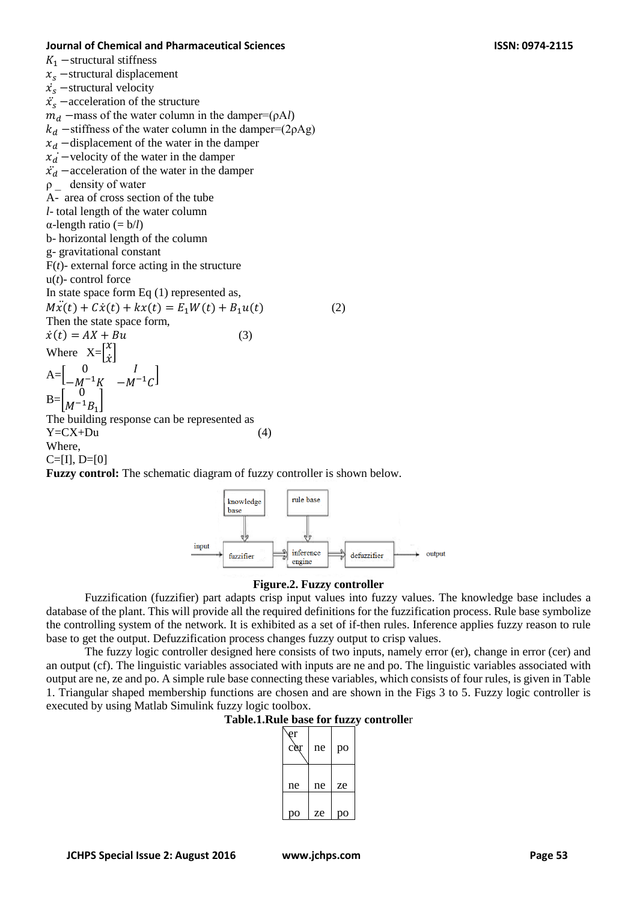#### **Journal of Chemical and Pharmaceutical Sciences ISSN: 0974-2115**

 $K_1$  –structural stiffness

 $x_s$  –structural displacement

 $\dot{x_s}$  –structural velocity

 $\ddot{x_s}$  –acceleration of the structure

 $m_d$  –mass of the water column in the damper=( $\rho A_l$ )

- $k_d$  –stiffness of the water column in the damper=(2ρAg)
- $x_d$  –displacement of the water in the damper
- $x_d$  –velocity of the water in the damper
- $\ddot{x_d}$  –acceleration of the water in the damper
- ρ \_ density of water

A- area of cross section of the tube

- *l* total length of the water column
- α-length ratio (= b/*l*)

b- horizontal length of the column

g- gravitational constant

 $F(t)$ - external force acting in the structure

u(*t*)- control force

In state space form Eq (1) represented as,

 $M\ddot{x}(t) + C\dot{x}(t) + kx(t) = E_1W(t) + B_1u(t)$  (2)

Then the state space form,  $\dot{x}(t) = AX + Bu$  (3)

 $A=$  $0$   $I$  $-M^{-1}K$   $-M^{-1}C$ 

 $\int \tilde{x}$ 

 $B=$ 0  $M^{-1}B_1$ ]

The building response can be represented as  $Y = CX + Du$  (4)

Where,

 $C=[I], D=[0]$ 

Where  $X = \begin{bmatrix} x \\ \vdots \end{bmatrix}$ 

**Fuzzy control:** The schematic diagram of fuzzy controller is shown below.



### **Figure.2. Fuzzy controller**

Fuzzification (fuzzifier) part adapts crisp input values into fuzzy values. The knowledge base includes a database of the plant. This will provide all the required definitions for the fuzzification process. Rule base symbolize the controlling system of the network. It is exhibited as a set of if-then rules. Inference applies fuzzy reason to rule base to get the output. Defuzzification process changes fuzzy output to crisp values.

The fuzzy logic controller designed here consists of two inputs, namely error (er), change in error (cer) and an output (cf). The linguistic variables associated with inputs are ne and po. The linguistic variables associated with output are ne, ze and po. A simple rule base connecting these variables, which consists of four rules, is given in Table 1. Triangular shaped membership functions are chosen and are shown in the Figs 3 to 5. Fuzzy logic controller is executed by using Matlab Simulink fuzzy logic toolbox.

### **Table.1.Rule base for fuzzy controlle**r

| er<br>cer | ne | po |
|-----------|----|----|
| ne        | ne | ze |
| О         | ze | О  |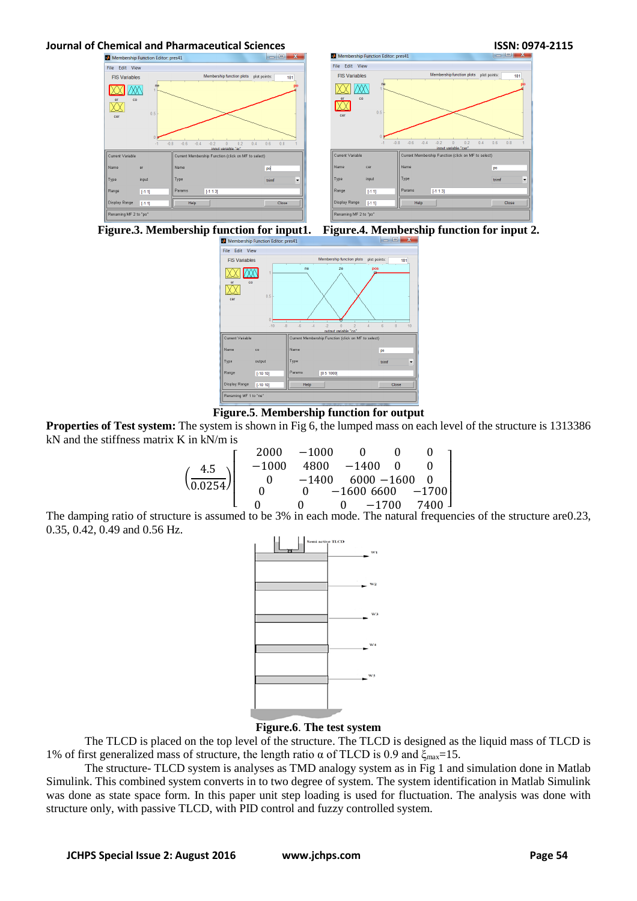

 $181$ 











**Properties of Test system:** The system is shown in Fig 6, the lumped mass on each level of the structure is 1313386 kN and the stiffness matrix K in kN/m is

$$
\left(\frac{4.5}{0.0254}\right)\left[\begin{array}{cccc}2000&-1000&0&0&0\\-1000&4800&-1400&0&0\\0&-1400&6000&-1600&0\\0&0&-1600&6600&-1700\\0&0&0&-1700&7400\end{array}\right]
$$

The damping ratio of structure is assumed to be 3% in each mode. The natural frequencies of the structure are0.23, 0.35, 0.42, 0.49 and 0.56 Hz.



## **Figure.6**. **The test system**

The TLCD is placed on the top level of the structure. The TLCD is designed as the liquid mass of TLCD is 1% of first generalized mass of structure, the length ratio α of TLCD is 0.9 and  $ξ_{max}=15$ .

The structure- TLCD system is analyses as TMD analogy system as in Fig 1 and simulation done in Matlab Simulink. This combined system converts in to two degree of system. The system identification in Matlab Simulink was done as state space form. In this paper unit step loading is used for fluctuation. The analysis was done with structure only, with passive TLCD, with PID control and fuzzy controlled system.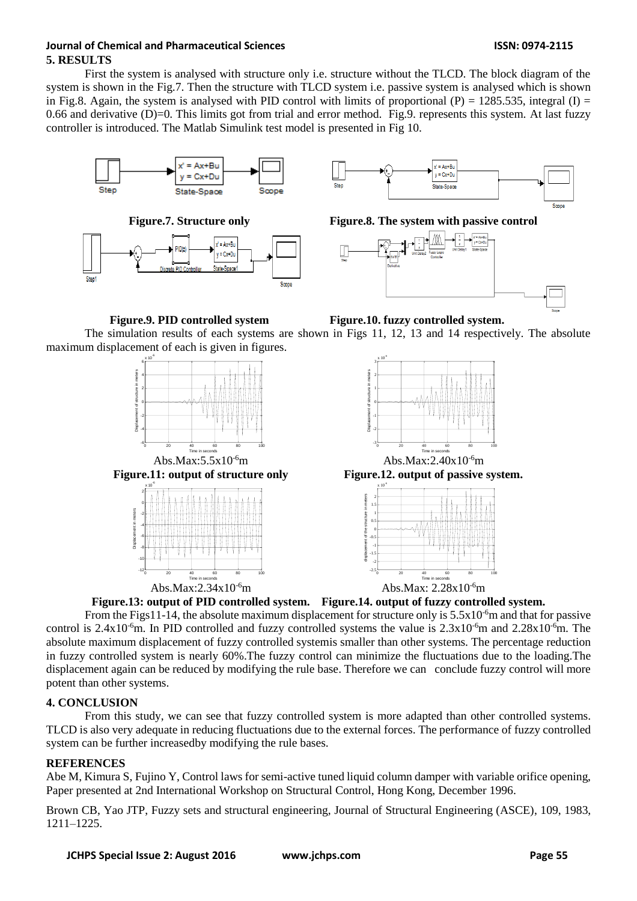## **Journal of Chemical and Pharmaceutical Sciences ISSN: 0974-2115 5. RESULTS**

First the system is analysed with structure only i.e. structure without the TLCD. The block diagram of the system is shown in the Fig.7. Then the structure with TLCD system i.e. passive system is analysed which is shown in Fig.8. Again, the system is analysed with PID control with limits of proportional (P) = 1285.535, integral (I) = 0.66 and derivative  $(D)=0$ . This limits got from trial and error method. Fig.9. represents this system. At last fuzzy controller is introduced. The Matlab Simulink test model is presented in Fig 10.







**Figure.7. Structure only Figure.8. The system with passive control**



**Figure.9. PID controlled system Figure.10. fuzzy controlled system.** The simulation results of each systems are shown in Figs 11, 12, 13 and 14 respectively. The absolute maximum displacement of each is given in figures.





Abs.Max:5.5x10<sup>-6</sup>m Abs.Max:2.40x10<sup>-6</sup>m **Figure.11: output of structure only Figure.12. output of passive system.**





**Figure.13: output of PID controlled system. Figure.14. output of fuzzy controlled system.**

From the Figs11-14, the absolute maximum displacement for structure only is  $5.5x10^{-6}$ m and that for passive control is 2.4x10<sup>-6</sup>m. In PID controlled and fuzzy controlled systems the value is  $2.3x10^{-6}$ m and  $2.28x10^{-6}$ m. The absolute maximum displacement of fuzzy controlled systemis smaller than other systems. The percentage reduction in fuzzy controlled system is nearly 60%.The fuzzy control can minimize the fluctuations due to the loading.The displacement again can be reduced by modifying the rule base. Therefore we can conclude fuzzy control will more potent than other systems.

# **4. CONCLUSION**

From this study, we can see that fuzzy controlled system is more adapted than other controlled systems. TLCD is also very adequate in reducing fluctuations due to the external forces. The performance of fuzzy controlled system can be further increasedby modifying the rule bases.

## **REFERENCES**

Abe M, Kimura S, Fujino Y, Control laws for semi-active tuned liquid column damper with variable orifice opening, Paper presented at 2nd International Workshop on Structural Control, Hong Kong, December 1996.

Brown CB, Yao JTP, Fuzzy sets and structural engineering, Journal of Structural Engineering (ASCE), 109, 1983, 1211–1225.